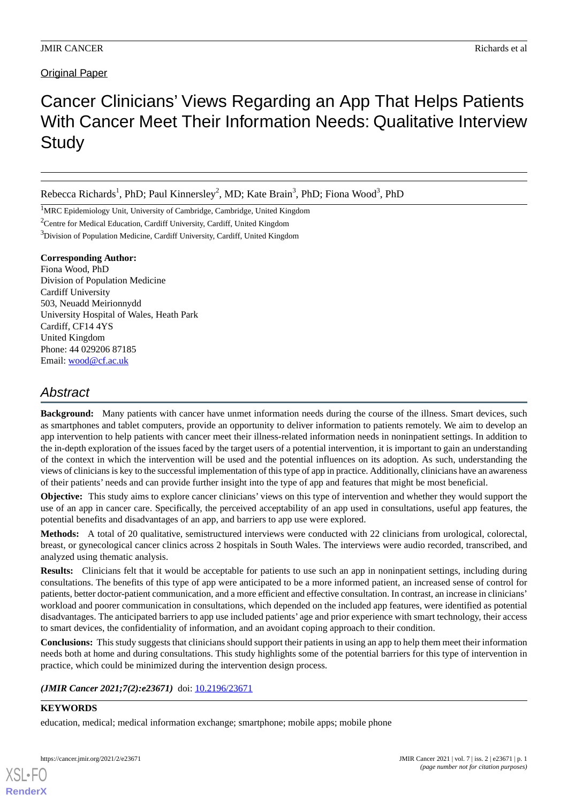# **Original Paper**

# Cancer Clinicians' Views Regarding an App That Helps Patients With Cancer Meet Their Information Needs: Qualitative Interview **Study**

Rebecca Richards<sup>1</sup>, PhD; Paul Kinnersley<sup>2</sup>, MD; Kate Brain<sup>3</sup>, PhD; Fiona Wood<sup>3</sup>, PhD

<sup>1</sup>MRC Epidemiology Unit, University of Cambridge, Cambridge, United Kingdom

<sup>2</sup>Centre for Medical Education, Cardiff University, Cardiff, United Kingdom

<sup>3</sup>Division of Population Medicine, Cardiff University, Cardiff, United Kingdom

#### **Corresponding Author:**

Fiona Wood, PhD Division of Population Medicine Cardiff University 503, Neuadd Meirionnydd University Hospital of Wales, Heath Park Cardiff, CF14 4YS United Kingdom Phone: 44 029206 87185 Email: [wood@cf.ac.uk](mailto:wood@cf.ac.uk)

# *Abstract*

**Background:** Many patients with cancer have unmet information needs during the course of the illness. Smart devices, such as smartphones and tablet computers, provide an opportunity to deliver information to patients remotely. We aim to develop an app intervention to help patients with cancer meet their illness-related information needs in noninpatient settings. In addition to the in-depth exploration of the issues faced by the target users of a potential intervention, it is important to gain an understanding of the context in which the intervention will be used and the potential influences on its adoption. As such, understanding the views of clinicians is key to the successful implementation of this type of app in practice. Additionally, clinicians have an awareness of their patients' needs and can provide further insight into the type of app and features that might be most beneficial.

**Objective:** This study aims to explore cancer clinicians' views on this type of intervention and whether they would support the use of an app in cancer care. Specifically, the perceived acceptability of an app used in consultations, useful app features, the potential benefits and disadvantages of an app, and barriers to app use were explored.

**Methods:** A total of 20 qualitative, semistructured interviews were conducted with 22 clinicians from urological, colorectal, breast, or gynecological cancer clinics across 2 hospitals in South Wales. The interviews were audio recorded, transcribed, and analyzed using thematic analysis.

**Results:** Clinicians felt that it would be acceptable for patients to use such an app in noninpatient settings, including during consultations. The benefits of this type of app were anticipated to be a more informed patient, an increased sense of control for patients, better doctor-patient communication, and a more efficient and effective consultation. In contrast, an increase in clinicians' workload and poorer communication in consultations, which depended on the included app features, were identified as potential disadvantages. The anticipated barriers to app use included patients' age and prior experience with smart technology, their access to smart devices, the confidentiality of information, and an avoidant coping approach to their condition.

**Conclusions:** This study suggests that clinicians should support their patients in using an app to help them meet their information needs both at home and during consultations. This study highlights some of the potential barriers for this type of intervention in practice, which could be minimized during the intervention design process.

*(JMIR Cancer 2021;7(2):e23671)* doi:  $10.2196/23671$ 

#### **KEYWORDS**

[XSL](http://www.w3.org/Style/XSL)•FO **[RenderX](http://www.renderx.com/)**

education, medical; medical information exchange; smartphone; mobile apps; mobile phone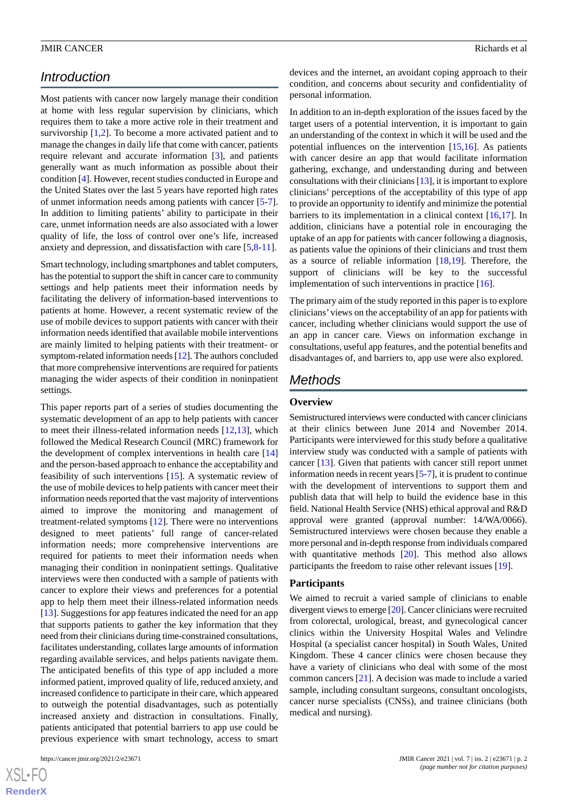# *Introduction*

Most patients with cancer now largely manage their condition at home with less regular supervision by clinicians, which requires them to take a more active role in their treatment and survivorship [\[1](#page-8-0),[2\]](#page-8-1). To become a more activated patient and to manage the changes in daily life that come with cancer, patients require relevant and accurate information [\[3](#page-8-2)], and patients generally want as much information as possible about their condition [[4](#page-8-3)]. However, recent studies conducted in Europe and the United States over the last 5 years have reported high rates of unmet information needs among patients with cancer [\[5-](#page-8-4)[7\]](#page-8-5). In addition to limiting patients' ability to participate in their care, unmet information needs are also associated with a lower quality of life, the loss of control over one's life, increased anxiety and depression, and dissatisfaction with care [\[5,](#page-8-4)[8](#page-8-6)[-11](#page-8-7)].

Smart technology, including smartphones and tablet computers, has the potential to support the shift in cancer care to community settings and help patients meet their information needs by facilitating the delivery of information-based interventions to patients at home. However, a recent systematic review of the use of mobile devices to support patients with cancer with their information needs identified that available mobile interventions are mainly limited to helping patients with their treatment- or symptom-related information needs [\[12](#page-9-0)]. The authors concluded that more comprehensive interventions are required for patients managing the wider aspects of their condition in noninpatient settings.

This paper reports part of a series of studies documenting the systematic development of an app to help patients with cancer to meet their illness-related information needs [[12](#page-9-0)[,13](#page-9-1)], which followed the Medical Research Council (MRC) framework for the development of complex interventions in health care [\[14](#page-9-2)] and the person-based approach to enhance the acceptability and feasibility of such interventions [[15\]](#page-9-3). A systematic review of the use of mobile devices to help patients with cancer meet their information needs reported that the vast majority of interventions aimed to improve the monitoring and management of treatment-related symptoms [\[12](#page-9-0)]. There were no interventions designed to meet patients' full range of cancer-related information needs; more comprehensive interventions are required for patients to meet their information needs when managing their condition in noninpatient settings. Qualitative interviews were then conducted with a sample of patients with cancer to explore their views and preferences for a potential app to help them meet their illness-related information needs [[13\]](#page-9-1). Suggestions for app features indicated the need for an app that supports patients to gather the key information that they need from their clinicians during time-constrained consultations, facilitates understanding, collates large amounts of information regarding available services, and helps patients navigate them. The anticipated benefits of this type of app included a more informed patient, improved quality of life, reduced anxiety, and increased confidence to participate in their care, which appeared to outweigh the potential disadvantages, such as potentially increased anxiety and distraction in consultations. Finally, patients anticipated that potential barriers to app use could be previous experience with smart technology, access to smart

 $XS$ -FO **[RenderX](http://www.renderx.com/)** devices and the internet, an avoidant coping approach to their condition, and concerns about security and confidentiality of personal information.

In addition to an in-depth exploration of the issues faced by the target users of a potential intervention, it is important to gain an understanding of the context in which it will be used and the potential influences on the intervention [[15](#page-9-3)[,16](#page-9-4)]. As patients with cancer desire an app that would facilitate information gathering, exchange, and understanding during and between consultations with their clinicians [\[13\]](#page-9-1), it is important to explore clinicians' perceptions of the acceptability of this type of app to provide an opportunity to identify and minimize the potential barriers to its implementation in a clinical context [\[16](#page-9-4),[17\]](#page-9-5). In addition, clinicians have a potential role in encouraging the uptake of an app for patients with cancer following a diagnosis, as patients value the opinions of their clinicians and trust them as a source of reliable information [[18,](#page-9-6)[19](#page-9-7)]. Therefore, the support of clinicians will be key to the successful implementation of such interventions in practice [[16\]](#page-9-4).

The primary aim of the study reported in this paper is to explore clinicians'views on the acceptability of an app for patients with cancer, including whether clinicians would support the use of an app in cancer care. Views on information exchange in consultations, useful app features, and the potential benefits and disadvantages of, and barriers to, app use were also explored.

# *Methods*

#### **Overview**

Semistructured interviews were conducted with cancer clinicians at their clinics between June 2014 and November 2014. Participants were interviewed for this study before a qualitative interview study was conducted with a sample of patients with cancer [[13\]](#page-9-1). Given that patients with cancer still report unmet information needs in recent years [\[5](#page-8-4)-[7\]](#page-8-5), it is prudent to continue with the development of interventions to support them and publish data that will help to build the evidence base in this field. National Health Service (NHS) ethical approval and R&D approval were granted (approval number: 14/WA/0066). Semistructured interviews were chosen because they enable a more personal and in-depth response from individuals compared with quantitative methods [\[20](#page-9-8)]. This method also allows participants the freedom to raise other relevant issues [[19\]](#page-9-7).

# **Participants**

We aimed to recruit a varied sample of clinicians to enable divergent views to emerge [\[20](#page-9-8)]. Cancer clinicians were recruited from colorectal, urological, breast, and gynecological cancer clinics within the University Hospital Wales and Velindre Hospital (a specialist cancer hospital) in South Wales, United Kingdom. These 4 cancer clinics were chosen because they have a variety of clinicians who deal with some of the most common cancers [\[21](#page-9-9)]. A decision was made to include a varied sample, including consultant surgeons, consultant oncologists, cancer nurse specialists (CNSs), and trainee clinicians (both medical and nursing).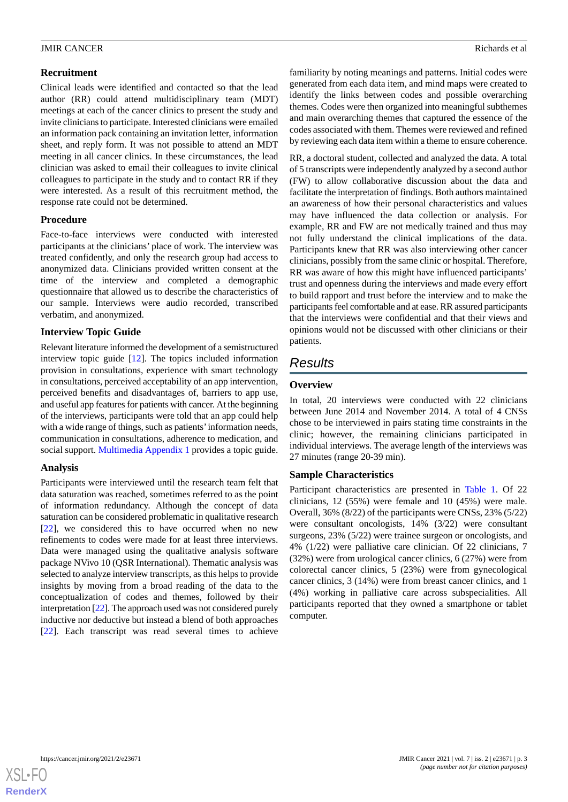# **Recruitment**

Clinical leads were identified and contacted so that the lead author (RR) could attend multidisciplinary team (MDT) meetings at each of the cancer clinics to present the study and invite clinicians to participate. Interested clinicians were emailed an information pack containing an invitation letter, information sheet, and reply form. It was not possible to attend an MDT meeting in all cancer clinics. In these circumstances, the lead clinician was asked to email their colleagues to invite clinical colleagues to participate in the study and to contact RR if they were interested. As a result of this recruitment method, the response rate could not be determined.

# **Procedure**

Face-to-face interviews were conducted with interested participants at the clinicians' place of work. The interview was treated confidently, and only the research group had access to anonymized data. Clinicians provided written consent at the time of the interview and completed a demographic questionnaire that allowed us to describe the characteristics of our sample. Interviews were audio recorded, transcribed verbatim, and anonymized.

# **Interview Topic Guide**

Relevant literature informed the development of a semistructured interview topic guide [\[12](#page-9-0)]. The topics included information provision in consultations, experience with smart technology in consultations, perceived acceptability of an app intervention, perceived benefits and disadvantages of, barriers to app use, and useful app features for patients with cancer. At the beginning of the interviews, participants were told that an app could help with a wide range of things, such as patients'information needs, communication in consultations, adherence to medication, and social support. [Multimedia Appendix 1](#page-8-8) provides a topic guide.

# **Analysis**

Participants were interviewed until the research team felt that data saturation was reached, sometimes referred to as the point of information redundancy. Although the concept of data saturation can be considered problematic in qualitative research [[22\]](#page-9-10), we considered this to have occurred when no new refinements to codes were made for at least three interviews. Data were managed using the qualitative analysis software package NVivo 10 (QSR International). Thematic analysis was selected to analyze interview transcripts, as this helps to provide insights by moving from a broad reading of the data to the conceptualization of codes and themes, followed by their interpretation [[22\]](#page-9-10). The approach used was not considered purely inductive nor deductive but instead a blend of both approaches [[22\]](#page-9-10). Each transcript was read several times to achieve

familiarity by noting meanings and patterns. Initial codes were generated from each data item, and mind maps were created to identify the links between codes and possible overarching themes. Codes were then organized into meaningful subthemes and main overarching themes that captured the essence of the codes associated with them. Themes were reviewed and refined by reviewing each data item within a theme to ensure coherence.

RR, a doctoral student, collected and analyzed the data. A total of 5 transcripts were independently analyzed by a second author (FW) to allow collaborative discussion about the data and facilitate the interpretation of findings. Both authors maintained an awareness of how their personal characteristics and values may have influenced the data collection or analysis. For example, RR and FW are not medically trained and thus may not fully understand the clinical implications of the data. Participants knew that RR was also interviewing other cancer clinicians, possibly from the same clinic or hospital. Therefore, RR was aware of how this might have influenced participants' trust and openness during the interviews and made every effort to build rapport and trust before the interview and to make the participants feel comfortable and at ease. RR assured participants that the interviews were confidential and that their views and opinions would not be discussed with other clinicians or their patients.

# *Results*

# **Overview**

In total, 20 interviews were conducted with 22 clinicians between June 2014 and November 2014. A total of 4 CNSs chose to be interviewed in pairs stating time constraints in the clinic; however, the remaining clinicians participated in individual interviews. The average length of the interviews was 27 minutes (range 20-39 min).

# **Sample Characteristics**

Participant characteristics are presented in [Table 1.](#page-3-0) Of 22 clinicians, 12 (55%) were female and 10 (45%) were male. Overall, 36% (8/22) of the participants were CNSs, 23% (5/22) were consultant oncologists, 14% (3/22) were consultant surgeons, 23% (5/22) were trainee surgeon or oncologists, and 4% (1/22) were palliative care clinician. Of 22 clinicians, 7 (32%) were from urological cancer clinics, 6 (27%) were from colorectal cancer clinics, 5 (23%) were from gynecological cancer clinics, 3 (14%) were from breast cancer clinics, and 1 (4%) working in palliative care across subspecialities. All participants reported that they owned a smartphone or tablet computer.

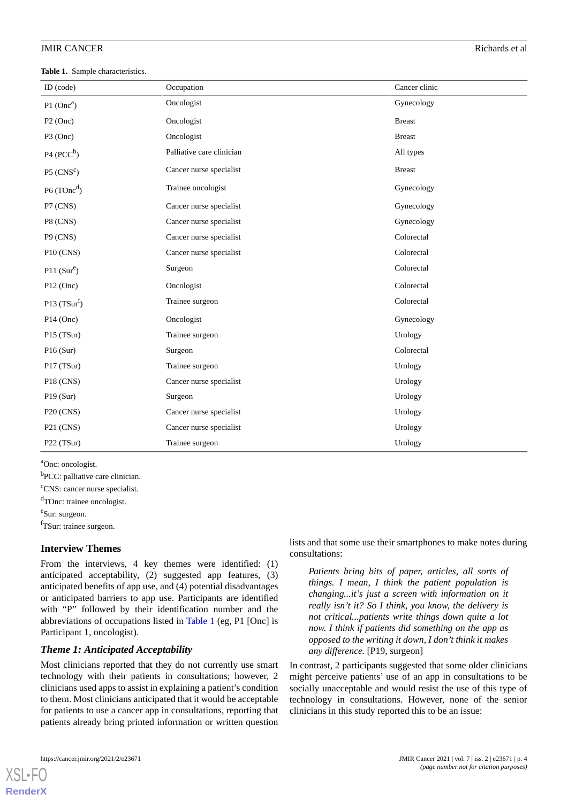<span id="page-3-0"></span>**Table 1.** Sample characteristics.

| ID (code)                 | Occupation                | Cancer clinic |
|---------------------------|---------------------------|---------------|
| $P1$ (Onc <sup>a</sup> )  | Oncologist                | Gynecology    |
| $P2$ (Onc)                | Oncologist                | <b>Breast</b> |
| $P3$ (Onc)                | Oncologist                | <b>Breast</b> |
| $P4 (PCC^b)$              | Palliative care clinician | All types     |
| $P5$ (CNS <sup>c</sup> )  | Cancer nurse specialist   | <b>Breast</b> |
| P6 (TOnc <sup>d</sup> )   | Trainee oncologist        | Gynecology    |
| P7 (CNS)                  | Cancer nurse specialist   | Gynecology    |
| P8 (CNS)                  | Cancer nurse specialist   | Gynecology    |
| P9 (CNS)                  | Cancer nurse specialist   | Colorectal    |
| P10 (CNS)                 | Cancer nurse specialist   | Colorectal    |
| $P11(Sur^e)$              | Surgeon                   | Colorectal    |
| $P12$ (Onc)               | Oncologist                | Colorectal    |
| P <sub>13</sub> $(TSurf)$ | Trainee surgeon           | Colorectal    |
| $P14$ (Onc)               | Oncologist                | Gynecology    |
| P15 (TSur)                | Trainee surgeon           | Urology       |
| P16(Sur)                  | Surgeon                   | Colorectal    |
| P17 (TSur)                | Trainee surgeon           | Urology       |
| <b>P18 (CNS)</b>          | Cancer nurse specialist   | Urology       |
| P19(Sur)                  | Surgeon                   | Urology       |
| P20 (CNS)                 | Cancer nurse specialist   | Urology       |
| P21 (CNS)                 | Cancer nurse specialist   | Urology       |
| P22 (TSur)                | Trainee surgeon           | Urology       |

<sup>a</sup>Onc: oncologist.

<sup>b</sup>PCC: palliative care clinician.

 $\text{c}_\text{CNS:}$  cancer nurse specialist.

dTOnc: trainee oncologist. e<sup>e</sup>Sur: surgeon.

<sup>f</sup>TSur: trainee surgeon.

#### **Interview Themes**

From the interviews, 4 key themes were identified: (1) anticipated acceptability, (2) suggested app features, (3) anticipated benefits of app use, and (4) potential disadvantages or anticipated barriers to app use. Participants are identified with "P" followed by their identification number and the abbreviations of occupations listed in [Table 1](#page-3-0) (eg, P1 [Onc] is Participant 1, oncologist).

#### *Theme 1: Anticipated Acceptability*

Most clinicians reported that they do not currently use smart technology with their patients in consultations; however, 2 clinicians used apps to assist in explaining a patient's condition to them. Most clinicians anticipated that it would be acceptable for patients to use a cancer app in consultations, reporting that patients already bring printed information or written question

lists and that some use their smartphones to make notes during consultations:

*Patients bring bits of paper, articles, all sorts of things. I mean, I think the patient population is changing...it's just a screen with information on it really isn't it? So I think, you know, the delivery is not critical...patients write things down quite a lot now. I think if patients did something on the app as opposed to the writing it down, I don't think it makes any difference.* [P19, surgeon]

In contrast, 2 participants suggested that some older clinicians might perceive patients' use of an app in consultations to be socially unacceptable and would resist the use of this type of technology in consultations. However, none of the senior clinicians in this study reported this to be an issue: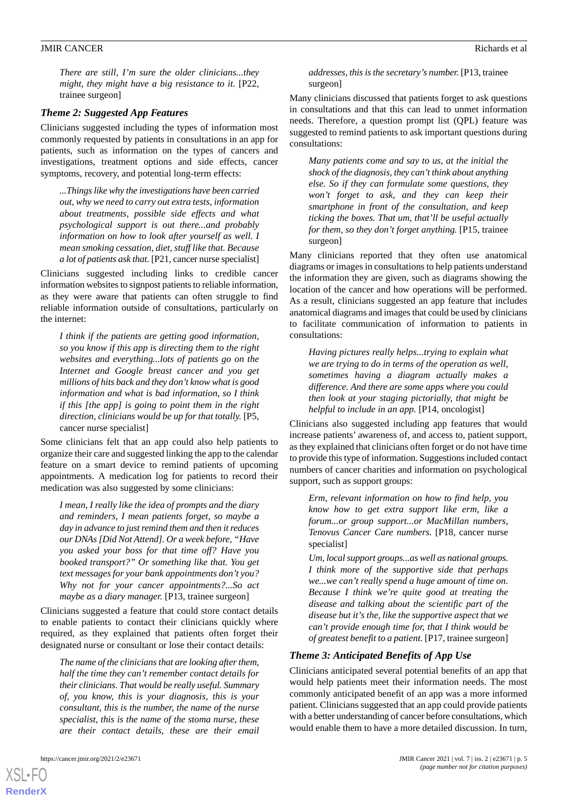*There are still, I'm sure the older clinicians...they might, they might have a big resistance to it.* [P22, trainee surgeon]

#### *Theme 2: Suggested App Features*

Clinicians suggested including the types of information most commonly requested by patients in consultations in an app for patients, such as information on the types of cancers and investigations, treatment options and side effects, cancer symptoms, recovery, and potential long-term effects:

*...Things like why the investigations have been carried out, why we need to carry out extra tests, information about treatments, possible side effects and what psychological support is out there...and probably information on how to look after yourself as well. I mean smoking cessation, diet, stuff like that. Because a lot of patients ask that.* [P21, cancer nurse specialist]

Clinicians suggested including links to credible cancer information websites to signpost patients to reliable information, as they were aware that patients can often struggle to find reliable information outside of consultations, particularly on the internet:

*I think if the patients are getting good information, so you know if this app is directing them to the right websites and everything...lots of patients go on the Internet and Google breast cancer and you get millions of hits back and they don't know what is good information and what is bad information, so I think if this [the app] is going to point them in the right direction, clinicians would be up for that totally.* [P5, cancer nurse specialist]

Some clinicians felt that an app could also help patients to organize their care and suggested linking the app to the calendar feature on a smart device to remind patients of upcoming appointments. A medication log for patients to record their medication was also suggested by some clinicians:

*I mean, I really like the idea of prompts and the diary and reminders, I mean patients forget, so maybe a day in advance to just remind them and then it reduces our DNAs [Did Not Attend]. Or a week before, "Have you asked your boss for that time off? Have you booked transport?" Or something like that. You get text messages for your bank appointments don't you? Why not for your cancer appointments?...So act maybe as a diary manager.* [P13, trainee surgeon]

Clinicians suggested a feature that could store contact details to enable patients to contact their clinicians quickly where required, as they explained that patients often forget their designated nurse or consultant or lose their contact details:

*The name of the clinicians that are looking after them, half the time they can't remember contact details for their clinicians. That would be really useful. Summary of, you know, this is your diagnosis, this is your consultant, this is the number, the name of the nurse specialist, this is the name of the stoma nurse, these are their contact details, these are their email*

[XSL](http://www.w3.org/Style/XSL)•FO **[RenderX](http://www.renderx.com/)**

#### *addresses, this is the secretary's number.* [P13, trainee surgeon]

Many clinicians discussed that patients forget to ask questions in consultations and that this can lead to unmet information needs. Therefore, a question prompt list (QPL) feature was suggested to remind patients to ask important questions during consultations:

*Many patients come and say to us, at the initial the shock of the diagnosis, they can't think about anything else. So if they can formulate some questions, they won't forget to ask, and they can keep their smartphone in front of the consultation, and keep ticking the boxes. That um, that'll be useful actually for them, so they don't forget anything.* [P15, trainee surgeon]

Many clinicians reported that they often use anatomical diagrams or images in consultations to help patients understand the information they are given, such as diagrams showing the location of the cancer and how operations will be performed. As a result, clinicians suggested an app feature that includes anatomical diagrams and images that could be used by clinicians to facilitate communication of information to patients in consultations:

*Having pictures really helps...trying to explain what we are trying to do in terms of the operation as well, sometimes having a diagram actually makes a difference. And there are some apps where you could then look at your staging pictorially, that might be helpful to include in an app.* [P14, oncologist]

Clinicians also suggested including app features that would increase patients' awareness of, and access to, patient support, as they explained that clinicians often forget or do not have time to provide this type of information. Suggestions included contact numbers of cancer charities and information on psychological support, such as support groups:

*Erm, relevant information on how to find help, you know how to get extra support like erm, like a forum...or group support...or MacMillan numbers, Tenovus Cancer Care numbers.* [P18, cancer nurse specialist]

*Um, local support groups...as well as national groups. I think more of the supportive side that perhaps we...we can't really spend a huge amount of time on. Because I think we're quite good at treating the disease and talking about the scientific part of the disease but it's the, like the supportive aspect that we can't provide enough time for, that I think would be of greatest benefit to a patient.* [P17, trainee surgeon]

#### *Theme 3: Anticipated Benefits of App Use*

Clinicians anticipated several potential benefits of an app that would help patients meet their information needs. The most commonly anticipated benefit of an app was a more informed patient. Clinicians suggested that an app could provide patients with a better understanding of cancer before consultations, which would enable them to have a more detailed discussion. In turn,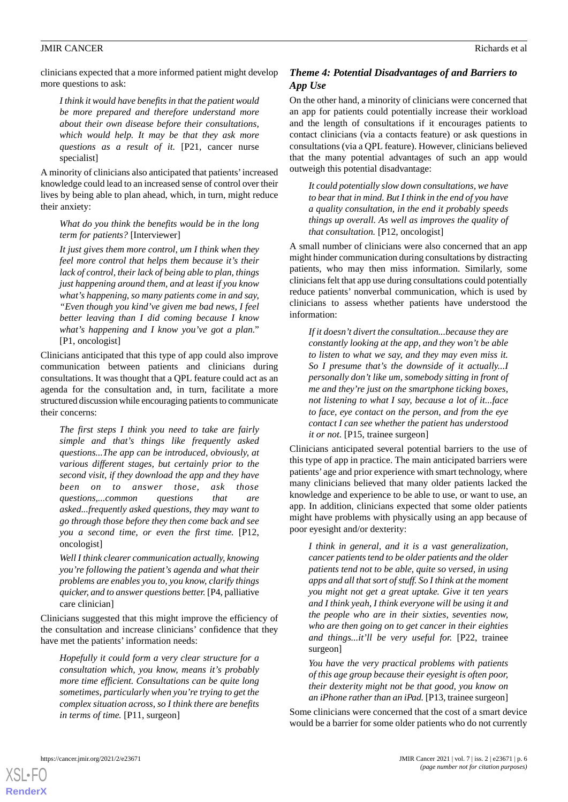clinicians expected that a more informed patient might develop more questions to ask:

*I think it would have benefits in that the patient would be more prepared and therefore understand more about their own disease before their consultations, which would help. It may be that they ask more questions as a result of it.* [P21, cancer nurse specialist]

A minority of clinicians also anticipated that patients'increased knowledge could lead to an increased sense of control over their lives by being able to plan ahead, which, in turn, might reduce their anxiety:

*What do you think the benefits would be in the long term for patients?* [Interviewer]

*It just gives them more control, um I think when they feel more control that helps them because it's their lack of control, their lack of being able to plan, things just happening around them, and at least if you know what's happening, so many patients come in and say, "Even though you kind've given me bad news, I feel better leaving than I did coming because I know what's happening and I know you've got a plan."* [P1, oncologist]

Clinicians anticipated that this type of app could also improve communication between patients and clinicians during consultations. It was thought that a QPL feature could act as an agenda for the consultation and, in turn, facilitate a more structured discussion while encouraging patients to communicate their concerns:

*The first steps I think you need to take are fairly simple and that's things like frequently asked questions...The app can be introduced, obviously, at various different stages, but certainly prior to the second visit, if they download the app and they have been on to answer those, ask those questions,...common questions that are asked...frequently asked questions, they may want to go through those before they then come back and see you a second time, or even the first time.* [P12, oncologist]

*Well I think clearer communication actually, knowing you're following the patient's agenda and what their problems are enables you to, you know, clarify things quicker, and to answer questions better.* [P4, palliative care clinician]

Clinicians suggested that this might improve the efficiency of the consultation and increase clinicians' confidence that they have met the patients' information needs:

*Hopefully it could form a very clear structure for a consultation which, you know, means it's probably more time efficient. Consultations can be quite long sometimes, particularly when you're trying to get the complex situation across, so I think there are benefits in terms of time.* [P11, surgeon]

# *Theme 4: Potential Disadvantages of and Barriers to App Use*

On the other hand, a minority of clinicians were concerned that an app for patients could potentially increase their workload and the length of consultations if it encourages patients to contact clinicians (via a contacts feature) or ask questions in consultations (via a QPL feature). However, clinicians believed that the many potential advantages of such an app would outweigh this potential disadvantage:

*It could potentially slow down consultations, we have to bear that in mind. But I think in the end of you have a quality consultation, in the end it probably speeds things up overall. As well as improves the quality of that consultation.* [P12, oncologist]

A small number of clinicians were also concerned that an app might hinder communication during consultations by distracting patients, who may then miss information. Similarly, some clinicians felt that app use during consultations could potentially reduce patients' nonverbal communication, which is used by clinicians to assess whether patients have understood the information:

*If it doesn't divert the consultation...because they are constantly looking at the app, and they won't be able to listen to what we say, and they may even miss it. So I presume that's the downside of it actually...I personally don't like um, somebody sitting in front of me and they're just on the smartphone ticking boxes, not listening to what I say, because a lot of it...face to face, eye contact on the person, and from the eye contact I can see whether the patient has understood it or not.* [P15, trainee surgeon]

Clinicians anticipated several potential barriers to the use of this type of app in practice. The main anticipated barriers were patients' age and prior experience with smart technology, where many clinicians believed that many older patients lacked the knowledge and experience to be able to use, or want to use, an app. In addition, clinicians expected that some older patients might have problems with physically using an app because of poor eyesight and/or dexterity:

*I think in general, and it is a vast generalization, cancer patients tend to be older patients and the older patients tend not to be able, quite so versed, in using apps and all that sort of stuff. So I think at the moment you might not get a great uptake. Give it ten years and I think yeah, I think everyone will be using it and the people who are in their sixties, seventies now, who are then going on to get cancer in their eighties and things...it'll be very useful for.* [P22, trainee surgeon]

*You have the very practical problems with patients of this age group because their eyesight is often poor, their dexterity might not be that good, you know on an iPhone rather than an iPad.* [P13, trainee surgeon]

Some clinicians were concerned that the cost of a smart device would be a barrier for some older patients who do not currently

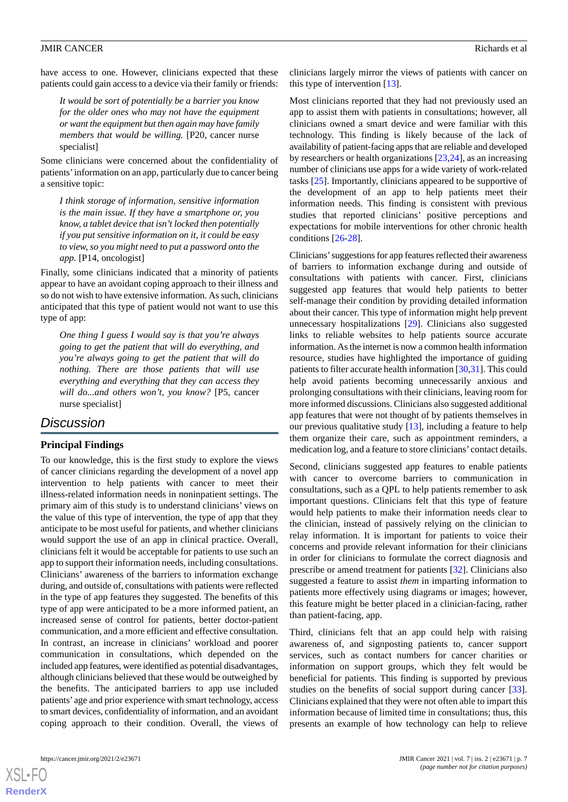have access to one. However, clinicians expected that these patients could gain access to a device via their family or friends:

*It would be sort of potentially be a barrier you know for the older ones who may not have the equipment or want the equipment but then again may have family members that would be willing.* [P20, cancer nurse specialist]

Some clinicians were concerned about the confidentiality of patients'information on an app, particularly due to cancer being a sensitive topic:

*I think storage of information, sensitive information is the main issue. If they have a smartphone or, you know, a tablet device that isn't locked then potentially if you put sensitive information on it, it could be easy to view, so you might need to put a password onto the app.* [P14, oncologist]

Finally, some clinicians indicated that a minority of patients appear to have an avoidant coping approach to their illness and so do not wish to have extensive information. As such, clinicians anticipated that this type of patient would not want to use this type of app:

*One thing I guess I would say is that you're always going to get the patient that will do everything, and you're always going to get the patient that will do nothing. There are those patients that will use everything and everything that they can access they will do...and others won't, you know?* [P5, cancer nurse specialist]

# *Discussion*

## **Principal Findings**

To our knowledge, this is the first study to explore the views of cancer clinicians regarding the development of a novel app intervention to help patients with cancer to meet their illness-related information needs in noninpatient settings. The primary aim of this study is to understand clinicians' views on the value of this type of intervention, the type of app that they anticipate to be most useful for patients, and whether clinicians would support the use of an app in clinical practice. Overall, clinicians felt it would be acceptable for patients to use such an app to support their information needs, including consultations. Clinicians' awareness of the barriers to information exchange during, and outside of, consultations with patients were reflected in the type of app features they suggested. The benefits of this type of app were anticipated to be a more informed patient, an increased sense of control for patients, better doctor-patient communication, and a more efficient and effective consultation. In contrast, an increase in clinicians' workload and poorer communication in consultations, which depended on the included app features, were identified as potential disadvantages, although clinicians believed that these would be outweighed by the benefits. The anticipated barriers to app use included patients' age and prior experience with smart technology, access to smart devices, confidentiality of information, and an avoidant coping approach to their condition. Overall, the views of

clinicians largely mirror the views of patients with cancer on this type of intervention [\[13](#page-9-1)].

Most clinicians reported that they had not previously used an app to assist them with patients in consultations; however, all clinicians owned a smart device and were familiar with this technology. This finding is likely because of the lack of availability of patient-facing apps that are reliable and developed by researchers or health organizations [\[23](#page-9-11),[24\]](#page-9-12), as an increasing number of clinicians use apps for a wide variety of work-related tasks [\[25](#page-9-13)]. Importantly, clinicians appeared to be supportive of the development of an app to help patients meet their information needs. This finding is consistent with previous studies that reported clinicians' positive perceptions and expectations for mobile interventions for other chronic health conditions [\[26](#page-9-14)[-28](#page-9-15)].

Clinicians'suggestions for app features reflected their awareness of barriers to information exchange during and outside of consultations with patients with cancer. First, clinicians suggested app features that would help patients to better self-manage their condition by providing detailed information about their cancer. This type of information might help prevent unnecessary hospitalizations [[29\]](#page-9-16). Clinicians also suggested links to reliable websites to help patients source accurate information. As the internet is now a common health information resource, studies have highlighted the importance of guiding patients to filter accurate health information [[30](#page-9-17)[,31](#page-9-18)]. This could help avoid patients becoming unnecessarily anxious and prolonging consultations with their clinicians, leaving room for more informed discussions. Clinicians also suggested additional app features that were not thought of by patients themselves in our previous qualitative study [[13\]](#page-9-1), including a feature to help them organize their care, such as appointment reminders, a medication log, and a feature to store clinicians' contact details.

Second, clinicians suggested app features to enable patients with cancer to overcome barriers to communication in consultations, such as a QPL to help patients remember to ask important questions. Clinicians felt that this type of feature would help patients to make their information needs clear to the clinician, instead of passively relying on the clinician to relay information. It is important for patients to voice their concerns and provide relevant information for their clinicians in order for clinicians to formulate the correct diagnosis and prescribe or amend treatment for patients [[32\]](#page-9-19). Clinicians also suggested a feature to assist *them* in imparting information to patients more effectively using diagrams or images; however, this feature might be better placed in a clinician-facing, rather than patient-facing, app.

Third, clinicians felt that an app could help with raising awareness of, and signposting patients to, cancer support services, such as contact numbers for cancer charities or information on support groups, which they felt would be beneficial for patients. This finding is supported by previous studies on the benefits of social support during cancer [[33\]](#page-9-20). Clinicians explained that they were not often able to impart this information because of limited time in consultations; thus, this presents an example of how technology can help to relieve

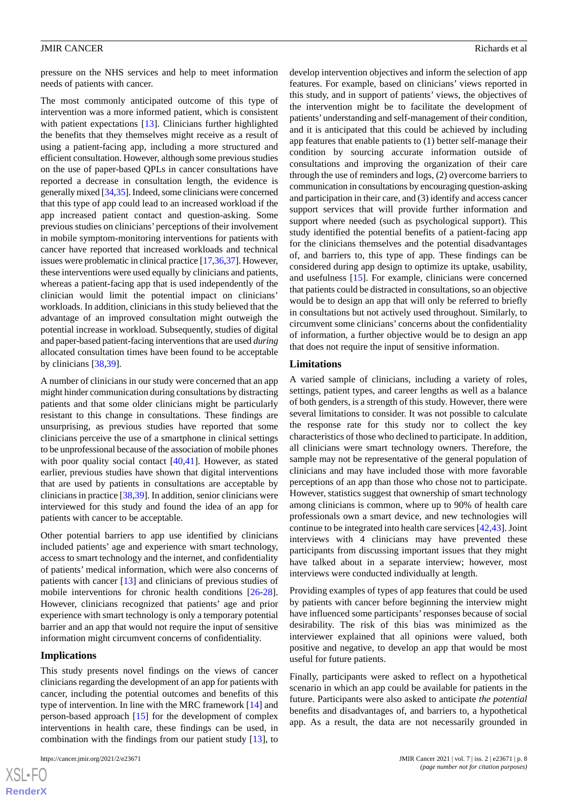The most commonly anticipated outcome of this type of intervention was a more informed patient, which is consistent with patient expectations [[13\]](#page-9-1). Clinicians further highlighted the benefits that they themselves might receive as a result of using a patient-facing app, including a more structured and efficient consultation. However, although some previous studies on the use of paper-based QPLs in cancer consultations have reported a decrease in consultation length, the evidence is generally mixed [[34](#page-9-21),[35\]](#page-9-22). Indeed, some clinicians were concerned that this type of app could lead to an increased workload if the app increased patient contact and question-asking. Some previous studies on clinicians' perceptions of their involvement in mobile symptom-monitoring interventions for patients with cancer have reported that increased workloads and technical issues were problematic in clinical practice [[17](#page-9-5)[,36,](#page-10-0)[37\]](#page-10-1). However, these interventions were used equally by clinicians and patients, whereas a patient-facing app that is used independently of the clinician would limit the potential impact on clinicians' workloads. In addition, clinicians in this study believed that the advantage of an improved consultation might outweigh the potential increase in workload. Subsequently, studies of digital and paper-based patient-facing interventions that are used *during* allocated consultation times have been found to be acceptable by clinicians [\[38](#page-10-2),[39\]](#page-10-3).

A number of clinicians in our study were concerned that an app might hinder communication during consultations by distracting patients and that some older clinicians might be particularly resistant to this change in consultations. These findings are unsurprising, as previous studies have reported that some clinicians perceive the use of a smartphone in clinical settings to be unprofessional because of the association of mobile phones with poor quality social contact [[40,](#page-10-4)[41](#page-10-5)]. However, as stated earlier, previous studies have shown that digital interventions that are used by patients in consultations are acceptable by clinicians in practice [[38](#page-10-2)[,39](#page-10-3)]. In addition, senior clinicians were interviewed for this study and found the idea of an app for patients with cancer to be acceptable.

Other potential barriers to app use identified by clinicians included patients' age and experience with smart technology, access to smart technology and the internet, and confidentiality of patients' medical information, which were also concerns of patients with cancer [[13\]](#page-9-1) and clinicians of previous studies of mobile interventions for chronic health conditions [\[26](#page-9-14)-[28\]](#page-9-15). However, clinicians recognized that patients' age and prior experience with smart technology is only a temporary potential barrier and an app that would not require the input of sensitive information might circumvent concerns of confidentiality.

#### **Implications**

[XSL](http://www.w3.org/Style/XSL)•FO **[RenderX](http://www.renderx.com/)**

This study presents novel findings on the views of cancer clinicians regarding the development of an app for patients with cancer, including the potential outcomes and benefits of this type of intervention. In line with the MRC framework [[14\]](#page-9-2) and person-based approach [\[15](#page-9-3)] for the development of complex interventions in health care, these findings can be used, in combination with the findings from our patient study [[13\]](#page-9-1), to

develop intervention objectives and inform the selection of app features. For example, based on clinicians' views reported in this study, and in support of patients' views, the objectives of the intervention might be to facilitate the development of patients'understanding and self-management of their condition, and it is anticipated that this could be achieved by including app features that enable patients to (1) better self-manage their condition by sourcing accurate information outside of consultations and improving the organization of their care through the use of reminders and logs, (2) overcome barriers to communication in consultations by encouraging question-asking and participation in their care, and (3) identify and access cancer support services that will provide further information and support where needed (such as psychological support). This study identified the potential benefits of a patient-facing app for the clinicians themselves and the potential disadvantages of, and barriers to, this type of app. These findings can be considered during app design to optimize its uptake, usability, and usefulness [\[15](#page-9-3)]. For example, clinicians were concerned that patients could be distracted in consultations, so an objective would be to design an app that will only be referred to briefly in consultations but not actively used throughout. Similarly, to circumvent some clinicians' concerns about the confidentiality of information, a further objective would be to design an app that does not require the input of sensitive information.

#### **Limitations**

A varied sample of clinicians, including a variety of roles, settings, patient types, and career lengths as well as a balance of both genders, is a strength of this study. However, there were several limitations to consider. It was not possible to calculate the response rate for this study nor to collect the key characteristics of those who declined to participate. In addition, all clinicians were smart technology owners. Therefore, the sample may not be representative of the general population of clinicians and may have included those with more favorable perceptions of an app than those who chose not to participate. However, statistics suggest that ownership of smart technology among clinicians is common, where up to 90% of health care professionals own a smart device, and new technologies will continue to be integrated into health care services [\[42](#page-10-6),[43\]](#page-10-7). Joint interviews with 4 clinicians may have prevented these participants from discussing important issues that they might have talked about in a separate interview; however, most interviews were conducted individually at length.

Providing examples of types of app features that could be used by patients with cancer before beginning the interview might have influenced some participants'responses because of social desirability. The risk of this bias was minimized as the interviewer explained that all opinions were valued, both positive and negative, to develop an app that would be most useful for future patients.

Finally, participants were asked to reflect on a hypothetical scenario in which an app could be available for patients in the future. Participants were also asked to anticipate *the potential* benefits and disadvantages of, and barriers to, a hypothetical app. As a result, the data are not necessarily grounded in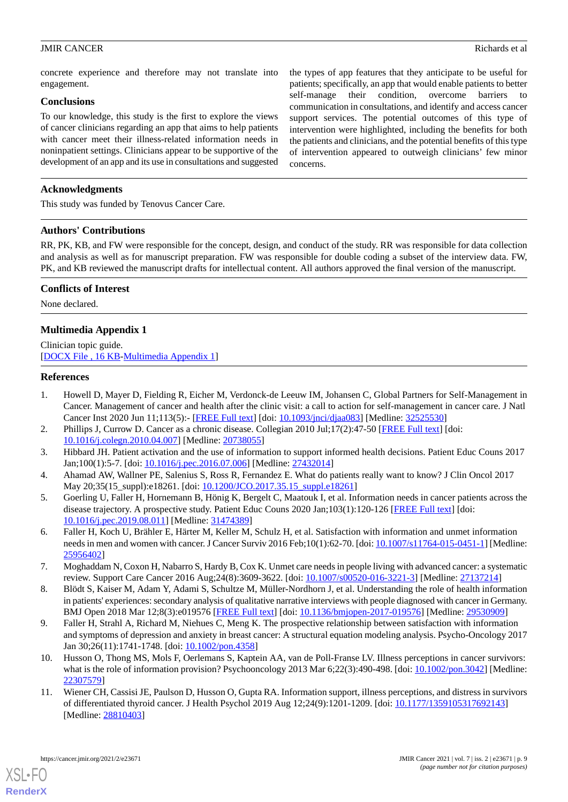concrete experience and therefore may not translate into engagement.

### **Conclusions**

To our knowledge, this study is the first to explore the views of cancer clinicians regarding an app that aims to help patients with cancer meet their illness-related information needs in noninpatient settings. Clinicians appear to be supportive of the development of an app and its use in consultations and suggested

the types of app features that they anticipate to be useful for patients; specifically, an app that would enable patients to better self-manage their condition, overcome barriers communication in consultations, and identify and access cancer support services. The potential outcomes of this type of intervention were highlighted, including the benefits for both the patients and clinicians, and the potential benefits of this type of intervention appeared to outweigh clinicians' few minor concerns.

# **Acknowledgments**

This study was funded by Tenovus Cancer Care.

#### **Authors' Contributions**

RR, PK, KB, and FW were responsible for the concept, design, and conduct of the study. RR was responsible for data collection and analysis as well as for manuscript preparation. FW was responsible for double coding a subset of the interview data. FW, PK, and KB reviewed the manuscript drafts for intellectual content. All authors approved the final version of the manuscript.

# **Conflicts of Interest**

<span id="page-8-8"></span>None declared.

# **Multimedia Appendix 1**

<span id="page-8-0"></span>Clinician topic guide. [[DOCX File , 16 KB](https://jmir.org/api/download?alt_name=cancer_v7i2e23671_app1.docx&filename=7196bf93a318ff6144be8b2ec8e68a6b.docx)-[Multimedia Appendix 1\]](https://jmir.org/api/download?alt_name=cancer_v7i2e23671_app1.docx&filename=7196bf93a318ff6144be8b2ec8e68a6b.docx)

#### **References**

- <span id="page-8-2"></span><span id="page-8-1"></span>1. Howell D, Mayer D, Fielding R, Eicher M, Verdonck-de Leeuw IM, Johansen C, Global Partners for Self-Management in Cancer. Management of cancer and health after the clinic visit: a call to action for self-management in cancer care. J Natl Cancer Inst 2020 Jun 11;113(5):- [\[FREE Full text\]](https://doi.org/10.1093/jnci/djaa083) [doi: [10.1093/jnci/djaa083\]](http://dx.doi.org/10.1093/jnci/djaa083) [Medline: [32525530](http://www.ncbi.nlm.nih.gov/entrez/query.fcgi?cmd=Retrieve&db=PubMed&list_uids=32525530&dopt=Abstract)]
- <span id="page-8-3"></span>2. Phillips J, Currow D. Cancer as a chronic disease. Collegian 2010 Jul;17(2):47-50 [\[FREE Full text\]](https://doi.org/10.1016/j.colegn.2010.04.007) [doi: [10.1016/j.colegn.2010.04.007](http://dx.doi.org/10.1016/j.colegn.2010.04.007)] [Medline: [20738055\]](http://www.ncbi.nlm.nih.gov/entrez/query.fcgi?cmd=Retrieve&db=PubMed&list_uids=20738055&dopt=Abstract)
- <span id="page-8-4"></span>3. Hibbard JH. Patient activation and the use of information to support informed health decisions. Patient Educ Couns 2017 Jan;100(1):5-7. [doi: [10.1016/j.pec.2016.07.006\]](http://dx.doi.org/10.1016/j.pec.2016.07.006) [Medline: [27432014](http://www.ncbi.nlm.nih.gov/entrez/query.fcgi?cmd=Retrieve&db=PubMed&list_uids=27432014&dopt=Abstract)]
- 4. Ahamad AW, Wallner PE, Salenius S, Ross R, Fernandez E. What do patients really want to know? J Clin Oncol 2017 May 20:35(15\_suppl):e18261. [doi: [10.1200/JCO.2017.35.15\\_suppl.e18261](http://dx.doi.org/10.1200/JCO.2017.35.15_suppl.e18261)]
- <span id="page-8-5"></span>5. Goerling U, Faller H, Hornemann B, Hönig K, Bergelt C, Maatouk I, et al. Information needs in cancer patients across the disease trajectory. A prospective study. Patient Educ Couns 2020 Jan;103(1):120-126 [[FREE Full text](https://doi.org/10.1016/j.pec.2019.08.011)] [doi: [10.1016/j.pec.2019.08.011\]](http://dx.doi.org/10.1016/j.pec.2019.08.011) [Medline: [31474389](http://www.ncbi.nlm.nih.gov/entrez/query.fcgi?cmd=Retrieve&db=PubMed&list_uids=31474389&dopt=Abstract)]
- <span id="page-8-6"></span>6. Faller H, Koch U, Brähler E, Härter M, Keller M, Schulz H, et al. Satisfaction with information and unmet information needs in men and women with cancer. J Cancer Surviv 2016 Feb;10(1):62-70. [doi: [10.1007/s11764-015-0451-1](http://dx.doi.org/10.1007/s11764-015-0451-1)] [Medline: [25956402](http://www.ncbi.nlm.nih.gov/entrez/query.fcgi?cmd=Retrieve&db=PubMed&list_uids=25956402&dopt=Abstract)]
- 7. Moghaddam N, Coxon H, Nabarro S, Hardy B, Cox K. Unmet care needs in people living with advanced cancer: a systematic review. Support Care Cancer 2016 Aug;24(8):3609-3622. [doi: [10.1007/s00520-016-3221-3\]](http://dx.doi.org/10.1007/s00520-016-3221-3) [Medline: [27137214](http://www.ncbi.nlm.nih.gov/entrez/query.fcgi?cmd=Retrieve&db=PubMed&list_uids=27137214&dopt=Abstract)]
- 8. Blödt S, Kaiser M, Adam Y, Adami S, Schultze M, Müller-Nordhorn J, et al. Understanding the role of health information in patients' experiences: secondary analysis of qualitative narrative interviews with people diagnosed with cancer in Germany. BMJ Open 2018 Mar 12;8(3):e019576 [[FREE Full text](https://bmjopen.bmj.com/lookup/pmidlookup?view=long&pmid=29530909)] [doi: [10.1136/bmjopen-2017-019576](http://dx.doi.org/10.1136/bmjopen-2017-019576)] [Medline: [29530909](http://www.ncbi.nlm.nih.gov/entrez/query.fcgi?cmd=Retrieve&db=PubMed&list_uids=29530909&dopt=Abstract)]
- <span id="page-8-7"></span>9. Faller H, Strahl A, Richard M, Niehues C, Meng K. The prospective relationship between satisfaction with information and symptoms of depression and anxiety in breast cancer: A structural equation modeling analysis. Psycho-Oncology 2017 Jan 30;26(11):1741-1748. [doi: [10.1002/pon.4358](http://dx.doi.org/10.1002/pon.4358)]
- 10. Husson O, Thong MS, Mols F, Oerlemans S, Kaptein AA, van de Poll-Franse LV. Illness perceptions in cancer survivors: what is the role of information provision? Psychooncology 2013 Mar 6;22(3):490-498. [doi: [10.1002/pon.3042\]](http://dx.doi.org/10.1002/pon.3042) [Medline: [22307579](http://www.ncbi.nlm.nih.gov/entrez/query.fcgi?cmd=Retrieve&db=PubMed&list_uids=22307579&dopt=Abstract)]
- 11. Wiener CH, Cassisi JE, Paulson D, Husson O, Gupta RA. Information support, illness perceptions, and distress in survivors of differentiated thyroid cancer. J Health Psychol 2019 Aug 12;24(9):1201-1209. [doi: [10.1177/1359105317692143\]](http://dx.doi.org/10.1177/1359105317692143) [Medline: [28810403](http://www.ncbi.nlm.nih.gov/entrez/query.fcgi?cmd=Retrieve&db=PubMed&list_uids=28810403&dopt=Abstract)]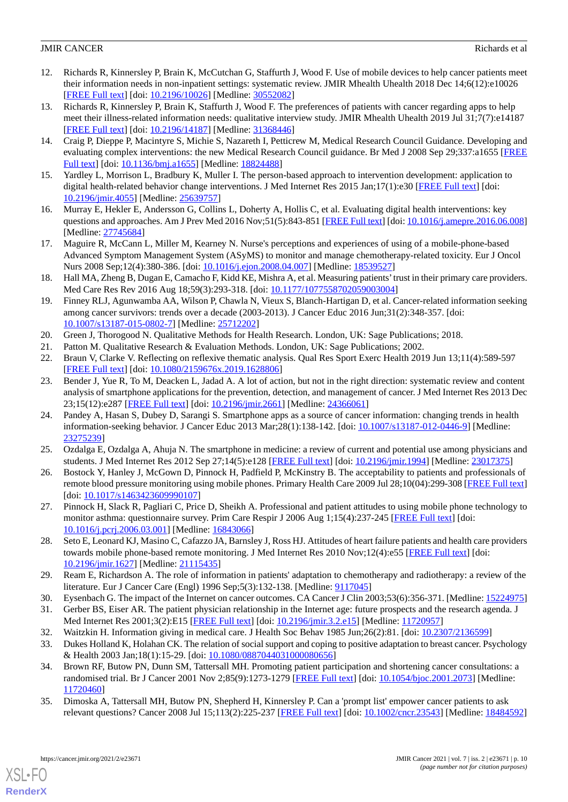- <span id="page-9-0"></span>12. Richards R, Kinnersley P, Brain K, McCutchan G, Staffurth J, Wood F. Use of mobile devices to help cancer patients meet their information needs in non-inpatient settings: systematic review. JMIR Mhealth Uhealth 2018 Dec 14;6(12):e10026 [[FREE Full text](https://mhealth.jmir.org/2018/12/e10026/)] [doi: [10.2196/10026\]](http://dx.doi.org/10.2196/10026) [Medline: [30552082\]](http://www.ncbi.nlm.nih.gov/entrez/query.fcgi?cmd=Retrieve&db=PubMed&list_uids=30552082&dopt=Abstract)
- <span id="page-9-1"></span>13. Richards R, Kinnersley P, Brain K, Staffurth J, Wood F. The preferences of patients with cancer regarding apps to help meet their illness-related information needs: qualitative interview study. JMIR Mhealth Uhealth 2019 Jul 31;7(7):e14187 [[FREE Full text](https://mhealth.jmir.org/2019/7/e14187/)] [doi: [10.2196/14187\]](http://dx.doi.org/10.2196/14187) [Medline: [31368446\]](http://www.ncbi.nlm.nih.gov/entrez/query.fcgi?cmd=Retrieve&db=PubMed&list_uids=31368446&dopt=Abstract)
- <span id="page-9-2"></span>14. Craig P, Dieppe P, Macintyre S, Michie S, Nazareth I, Petticrew M, Medical Research Council Guidance. Developing and evaluating complex interventions: the new Medical Research Council guidance. Br Med J 2008 Sep 29;337:a1655 [\[FREE](http://europepmc.org/abstract/MED/18824488) [Full text\]](http://europepmc.org/abstract/MED/18824488) [doi: [10.1136/bmj.a1655\]](http://dx.doi.org/10.1136/bmj.a1655) [Medline: [18824488\]](http://www.ncbi.nlm.nih.gov/entrez/query.fcgi?cmd=Retrieve&db=PubMed&list_uids=18824488&dopt=Abstract)
- <span id="page-9-4"></span><span id="page-9-3"></span>15. Yardley L, Morrison L, Bradbury K, Muller I. The person-based approach to intervention development: application to digital health-related behavior change interventions. J Med Internet Res 2015 Jan;17(1):e30 [[FREE Full text](http://www.jmir.org/2015/1/e30/)] [doi: [10.2196/jmir.4055](http://dx.doi.org/10.2196/jmir.4055)] [Medline: [25639757](http://www.ncbi.nlm.nih.gov/entrez/query.fcgi?cmd=Retrieve&db=PubMed&list_uids=25639757&dopt=Abstract)]
- <span id="page-9-5"></span>16. Murray E, Hekler E, Andersson G, Collins L, Doherty A, Hollis C, et al. Evaluating digital health interventions: key questions and approaches. Am J Prev Med 2016 Nov;51(5):843-851 [\[FREE Full text\]](http://europepmc.org/abstract/MED/27745684) [doi: [10.1016/j.amepre.2016.06.008](http://dx.doi.org/10.1016/j.amepre.2016.06.008)] [Medline: [27745684](http://www.ncbi.nlm.nih.gov/entrez/query.fcgi?cmd=Retrieve&db=PubMed&list_uids=27745684&dopt=Abstract)]
- <span id="page-9-6"></span>17. Maguire R, McCann L, Miller M, Kearney N. Nurse's perceptions and experiences of using of a mobile-phone-based Advanced Symptom Management System (ASyMS) to monitor and manage chemotherapy-related toxicity. Eur J Oncol Nurs 2008 Sep;12(4):380-386. [doi: [10.1016/j.ejon.2008.04.007](http://dx.doi.org/10.1016/j.ejon.2008.04.007)] [Medline: [18539527\]](http://www.ncbi.nlm.nih.gov/entrez/query.fcgi?cmd=Retrieve&db=PubMed&list_uids=18539527&dopt=Abstract)
- <span id="page-9-7"></span>18. Hall MA, Zheng B, Dugan E, Camacho F, Kidd KE, Mishra A, et al. Measuring patients'trust in their primary care providers. Med Care Res Rev 2016 Aug 18;59(3):293-318. [doi: [10.1177/1077558702059003004](http://dx.doi.org/10.1177/1077558702059003004)]
- <span id="page-9-9"></span><span id="page-9-8"></span>19. Finney RLJ, Agunwamba AA, Wilson P, Chawla N, Vieux S, Blanch-Hartigan D, et al. Cancer-related information seeking among cancer survivors: trends over a decade (2003-2013). J Cancer Educ 2016 Jun;31(2):348-357. [doi: [10.1007/s13187-015-0802-7\]](http://dx.doi.org/10.1007/s13187-015-0802-7) [Medline: [25712202](http://www.ncbi.nlm.nih.gov/entrez/query.fcgi?cmd=Retrieve&db=PubMed&list_uids=25712202&dopt=Abstract)]
- <span id="page-9-10"></span>20. Green J, Thorogood N. Qualitative Methods for Health Research. London, UK: Sage Publications; 2018.
- <span id="page-9-11"></span>21. Patton M. Qualitative Research & Evaluation Methods. London, UK: Sage Publications; 2002.
- 22. Braun V, Clarke V. Reflecting on reflexive thematic analysis. Qual Res Sport Exerc Health 2019 Jun 13;11(4):589-597 [[FREE Full text](https://doi.org/10.1080/2159676X.2019.1628806)] [doi: [10.1080/2159676x.2019.1628806\]](http://dx.doi.org/10.1080/2159676x.2019.1628806)
- <span id="page-9-12"></span>23. Bender J, Yue R, To M, Deacken L, Jadad A. A lot of action, but not in the right direction: systematic review and content analysis of smartphone applications for the prevention, detection, and management of cancer. J Med Internet Res 2013 Dec 23;15(12):e287 [\[FREE Full text](https://doi.org/10.2196/jmir.2661)] [doi: [10.2196/jmir.2661\]](http://dx.doi.org/10.2196/jmir.2661) [Medline: [24366061](http://www.ncbi.nlm.nih.gov/entrez/query.fcgi?cmd=Retrieve&db=PubMed&list_uids=24366061&dopt=Abstract)]
- <span id="page-9-14"></span><span id="page-9-13"></span>24. Pandey A, Hasan S, Dubey D, Sarangi S. Smartphone apps as a source of cancer information: changing trends in health information-seeking behavior. J Cancer Educ 2013 Mar;28(1):138-142. [doi: [10.1007/s13187-012-0446-9\]](http://dx.doi.org/10.1007/s13187-012-0446-9) [Medline: [23275239](http://www.ncbi.nlm.nih.gov/entrez/query.fcgi?cmd=Retrieve&db=PubMed&list_uids=23275239&dopt=Abstract)]
- 25. Ozdalga E, Ozdalga A, Ahuja N. The smartphone in medicine: a review of current and potential use among physicians and students. J Med Internet Res 2012 Sep 27;14(5):e128 [\[FREE Full text\]](https://www.jmir.org/2012/5/e128/) [doi: [10.2196/jmir.1994\]](http://dx.doi.org/10.2196/jmir.1994) [Medline: [23017375](http://www.ncbi.nlm.nih.gov/entrez/query.fcgi?cmd=Retrieve&db=PubMed&list_uids=23017375&dopt=Abstract)]
- <span id="page-9-15"></span>26. Bostock Y, Hanley J, McGown D, Pinnock H, Padfield P, McKinstry B. The acceptability to patients and professionals of remote blood pressure monitoring using mobile phones. Primary Health Care 2009 Jul 28;10(04):299-308 [[FREE Full text](https://doi.org/10.1017/S1463423609990107)] [doi: [10.1017/s1463423609990107](http://dx.doi.org/10.1017/s1463423609990107)]
- <span id="page-9-16"></span>27. Pinnock H, Slack R, Pagliari C, Price D, Sheikh A. Professional and patient attitudes to using mobile phone technology to monitor asthma: questionnaire survey. Prim Care Respir J 2006 Aug 1;15(4):237-245 [\[FREE Full text\]](https://doi.org/10.1016/j.pcrj.2006.03.001) [doi: [10.1016/j.pcrj.2006.03.001](http://dx.doi.org/10.1016/j.pcrj.2006.03.001)] [Medline: [16843066\]](http://www.ncbi.nlm.nih.gov/entrez/query.fcgi?cmd=Retrieve&db=PubMed&list_uids=16843066&dopt=Abstract)
- <span id="page-9-18"></span><span id="page-9-17"></span>28. Seto E, Leonard KJ, Masino C, Cafazzo JA, Barnsley J, Ross HJ. Attitudes of heart failure patients and health care providers towards mobile phone-based remote monitoring. J Med Internet Res 2010 Nov;12(4):e55 [[FREE Full text](http://www.jmir.org/2010/4/e55/)] [doi: [10.2196/jmir.1627](http://dx.doi.org/10.2196/jmir.1627)] [Medline: [21115435](http://www.ncbi.nlm.nih.gov/entrez/query.fcgi?cmd=Retrieve&db=PubMed&list_uids=21115435&dopt=Abstract)]
- <span id="page-9-20"></span><span id="page-9-19"></span>29. Ream E, Richardson A. The role of information in patients' adaptation to chemotherapy and radiotherapy: a review of the literature. Eur J Cancer Care (Engl) 1996 Sep;5(3):132-138. [Medline: [9117045](http://www.ncbi.nlm.nih.gov/entrez/query.fcgi?cmd=Retrieve&db=PubMed&list_uids=9117045&dopt=Abstract)]
- <span id="page-9-21"></span>30. Eysenbach G. The impact of the Internet on cancer outcomes. CA Cancer J Clin 2003;53(6):356-371. [Medline: [15224975](http://www.ncbi.nlm.nih.gov/entrez/query.fcgi?cmd=Retrieve&db=PubMed&list_uids=15224975&dopt=Abstract)]
- 31. Gerber BS, Eiser AR. The patient physician relationship in the Internet age: future prospects and the research agenda. J Med Internet Res 2001;3(2):E15 [[FREE Full text](http://www.jmir.org/2001/2/e15/)] [doi: [10.2196/jmir.3.2.e15\]](http://dx.doi.org/10.2196/jmir.3.2.e15) [Medline: [11720957](http://www.ncbi.nlm.nih.gov/entrez/query.fcgi?cmd=Retrieve&db=PubMed&list_uids=11720957&dopt=Abstract)]
- <span id="page-9-22"></span>32. Waitzkin H. Information giving in medical care. J Health Soc Behav 1985 Jun;26(2):81. [doi: [10.2307/2136599](http://dx.doi.org/10.2307/2136599)]
- 33. Dukes Holland K, Holahan CK. The relation of social support and coping to positive adaptation to breast cancer. Psychology & Health 2003 Jan;18(1):15-29. [doi: [10.1080/0887044031000080656](http://dx.doi.org/10.1080/0887044031000080656)]
- 34. Brown RF, Butow PN, Dunn SM, Tattersall MH. Promoting patient participation and shortening cancer consultations: a randomised trial. Br J Cancer 2001 Nov 2;85(9):1273-1279 [[FREE Full text](http://europepmc.org/abstract/MED/11720460)] [doi: [10.1054/bjoc.2001.2073](http://dx.doi.org/10.1054/bjoc.2001.2073)] [Medline: [11720460](http://www.ncbi.nlm.nih.gov/entrez/query.fcgi?cmd=Retrieve&db=PubMed&list_uids=11720460&dopt=Abstract)]
- 35. Dimoska A, Tattersall MH, Butow PN, Shepherd H, Kinnersley P. Can a 'prompt list' empower cancer patients to ask relevant questions? Cancer 2008 Jul 15;113(2):225-237 [\[FREE Full text\]](http://dx.doi.org/10.1002/cncr.23543) [doi: [10.1002/cncr.23543](http://dx.doi.org/10.1002/cncr.23543)] [Medline: [18484592](http://www.ncbi.nlm.nih.gov/entrez/query.fcgi?cmd=Retrieve&db=PubMed&list_uids=18484592&dopt=Abstract)]